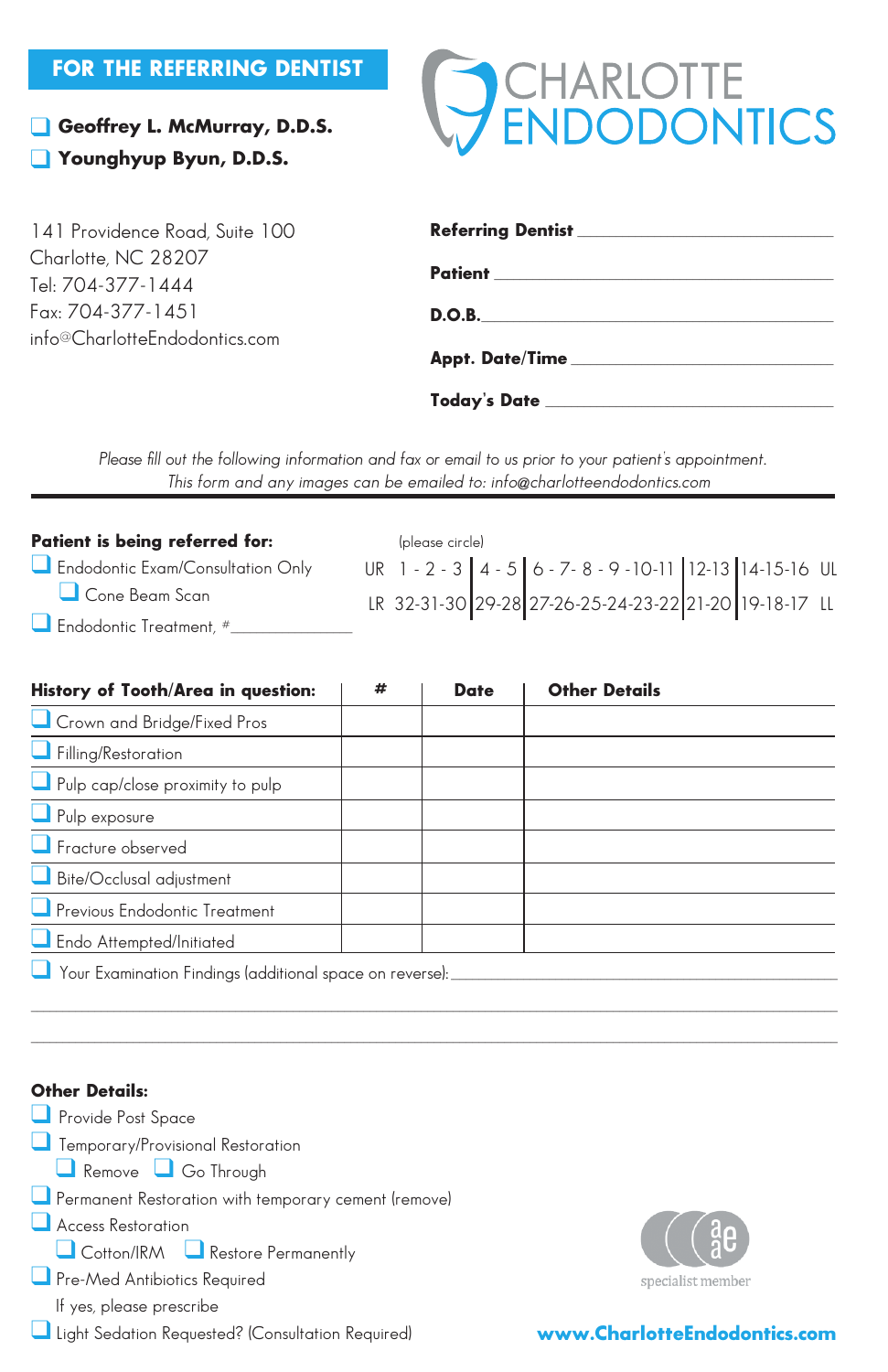### FOR THE REFERRING DENTIST

**Geoffrey L. McMurray, D.D.S. The Syman P.A.S.** Property P.A.S.



| 141 Providence Road, Suite 100           |                                                 |  |  |  |  |
|------------------------------------------|-------------------------------------------------|--|--|--|--|
| Charlotte, NC 28207<br>Tel: 704-377-1444 |                                                 |  |  |  |  |
| Fax: 704-377-1451                        | D.O.B.                                          |  |  |  |  |
| info@CharlotteEndodontics.com            |                                                 |  |  |  |  |
|                                          | Today's Date __________________________________ |  |  |  |  |

*Please fill out the following information and fax or email to us prior to your patient's appointment. This form and any images can be emailed to: charlotteendo@charlotte.twcbc.com* This form and any images can be emailed to: info@charlotteendodontics.com

| Patient is being referred for:     | (please circle)                                                            |  |  |  |  |  |
|------------------------------------|----------------------------------------------------------------------------|--|--|--|--|--|
| Endodontic Exam/Consultation Only  | UR 1 - 2 - 3   4 - 5   6 - 7 - 8 - 9 - 10 - 11   12 - 13   14 - 15 - 16 UL |  |  |  |  |  |
| Cone Beam Scan                     | LR 32-31-30 29-28 27-26-25-24-23-22 21-20 19-18-17 LL                      |  |  |  |  |  |
| $\Box$ Endodontic Treatment, $\mu$ |                                                                            |  |  |  |  |  |

| History of Tooth/Area in question:                       | # | <b>Date</b> | <b>Other Details</b> |  |  |  |  |
|----------------------------------------------------------|---|-------------|----------------------|--|--|--|--|
| Crown and Bridge/Fixed Pros                              |   |             |                      |  |  |  |  |
| Filling/Restoration                                      |   |             |                      |  |  |  |  |
| Pulp cap/close proximity to pulp                         |   |             |                      |  |  |  |  |
| Pulp exposure                                            |   |             |                      |  |  |  |  |
| $\Box$ Fracture observed                                 |   |             |                      |  |  |  |  |
| Bite/Occlusal adjustment                                 |   |             |                      |  |  |  |  |
| Previous Endodontic Treatment                            |   |             |                      |  |  |  |  |
| Endo Attempted/Initiated                                 |   |             |                      |  |  |  |  |
| Your Examination Findings (additional space on reverse): |   |             |                      |  |  |  |  |
|                                                          |   |             |                      |  |  |  |  |

\_\_\_\_\_\_\_\_\_\_\_\_\_\_\_\_\_\_\_\_\_\_\_\_\_\_\_\_\_\_\_\_\_\_\_\_\_\_\_\_\_\_\_\_\_\_\_\_\_\_\_\_\_\_\_\_\_\_\_\_\_\_\_\_\_\_\_\_\_\_\_\_\_\_\_\_\_\_\_\_\_\_\_\_\_\_\_\_\_\_\_\_\_\_\_\_\_\_\_\_\_\_\_\_\_\_\_\_\_\_\_\_\_\_\_\_\_\_\_\_\_\_\_\_\_\_





### www.CharlotteEndodontics.com